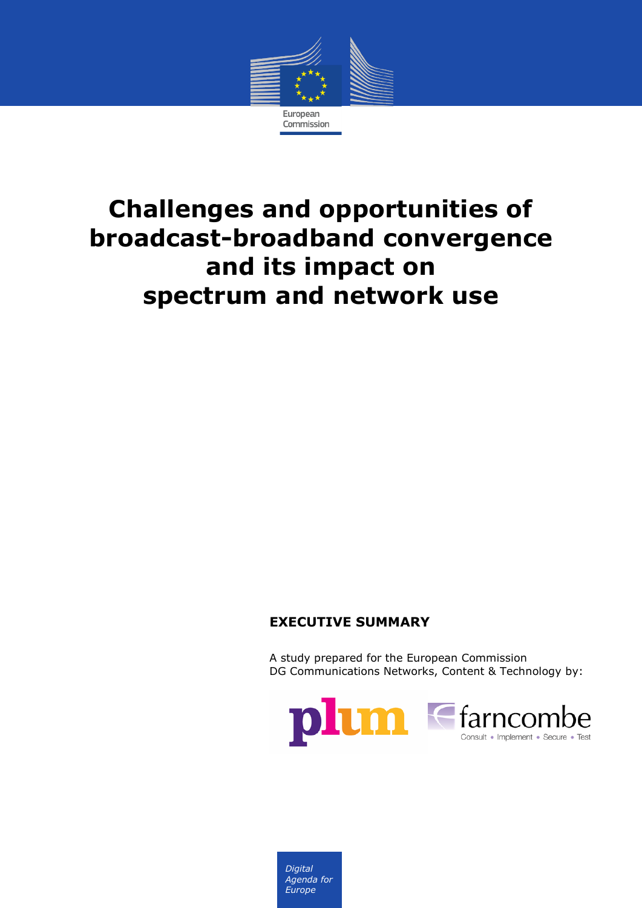

# **Challenges and opportunities of broadcast-broadband convergence and its impact on spectrum and network use**

#### **EXECUTIVE SUMMARY**

A study prepared for the European Commission DG Communications Networks, Content & Technology by:



*Digital Agenda for Europe*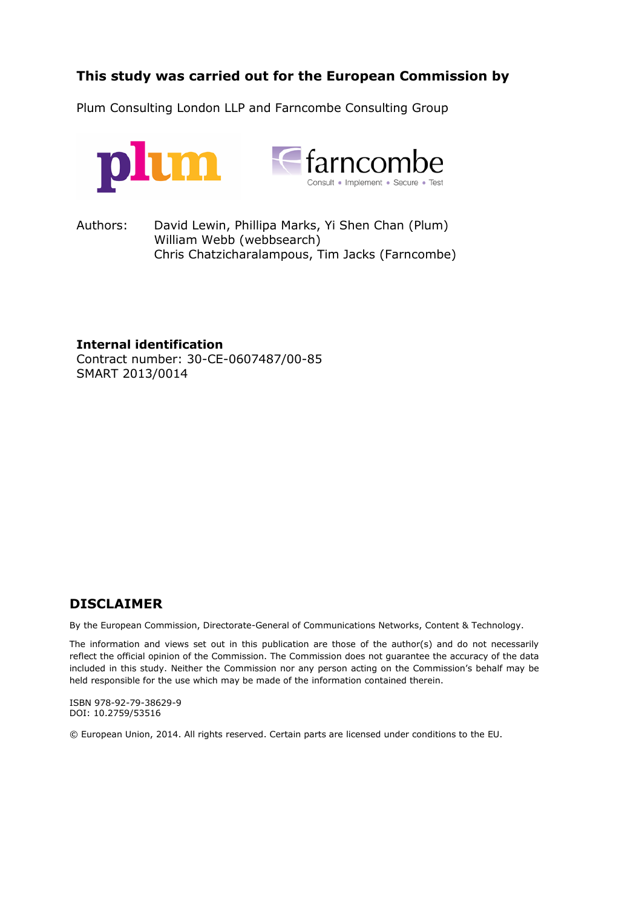#### **This study was carried out for the European Commission by**

Plum Consulting London LLP and Farncombe Consulting Group



Authors: David Lewin, Phillipa Marks, Yi Shen Chan (Plum) William Webb (webbsearch) Chris Chatzicharalampous, Tim Jacks (Farncombe)

**Internal identification**

Contract number: 30-CE-0607487/00-85 SMART 2013/0014

#### **DISCLAIMER**

By the European Commission, Directorate-General of Communications Networks, Content & Technology.

The information and views set out in this publication are those of the author(s) and do not necessarily reflect the official opinion of the Commission. The Commission does not guarantee the accuracy of the data included in this study. Neither the Commission nor any person acting on the Commission's behalf may be held responsible for the use which may be made of the information contained therein.

ISBN 978-92-79-38629-9 DOI: 10.2759/53516

© European Union, 2014. All rights reserved. Certain parts are licensed under conditions to the EU.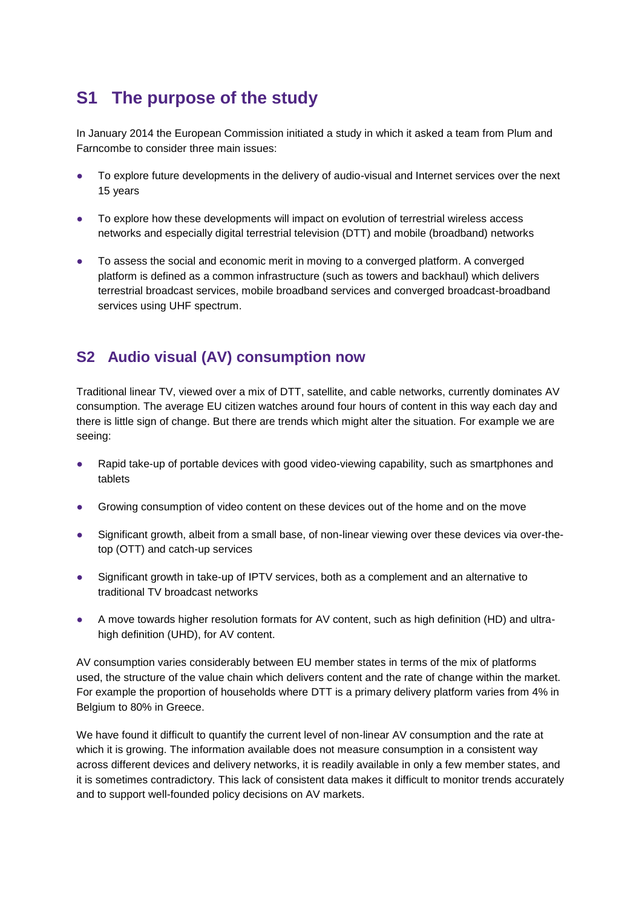## **S1 The purpose of the study**

In January 2014 the European Commission initiated a study in which it asked a team from Plum and Farncombe to consider three main issues:

- To explore future developments in the delivery of audio-visual and Internet services over the next 15 years
- To explore how these developments will impact on evolution of terrestrial wireless access networks and especially digital terrestrial television (DTT) and mobile (broadband) networks
- To assess the social and economic merit in moving to a converged platform. A converged platform is defined as a common infrastructure (such as towers and backhaul) which delivers terrestrial broadcast services, mobile broadband services and converged broadcast-broadband services using UHF spectrum.

#### **S2 Audio visual (AV) consumption now**

Traditional linear TV, viewed over a mix of DTT, satellite, and cable networks, currently dominates AV consumption. The average EU citizen watches around four hours of content in this way each day and there is little sign of change. But there are trends which might alter the situation. For example we are seeing:

- Rapid take-up of portable devices with good video-viewing capability, such as smartphones and tablets
- Growing consumption of video content on these devices out of the home and on the move
- Significant growth, albeit from a small base, of non-linear viewing over these devices via over-thetop (OTT) and catch-up services
- Significant growth in take-up of IPTV services, both as a complement and an alternative to traditional TV broadcast networks
- A move towards higher resolution formats for AV content, such as high definition (HD) and ultrahigh definition (UHD), for AV content.

AV consumption varies considerably between EU member states in terms of the mix of platforms used, the structure of the value chain which delivers content and the rate of change within the market. For example the proportion of households where DTT is a primary delivery platform varies from 4% in Belgium to 80% in Greece.

We have found it difficult to quantify the current level of non-linear AV consumption and the rate at which it is growing. The information available does not measure consumption in a consistent way across different devices and delivery networks, it is readily available in only a few member states, and it is sometimes contradictory. This lack of consistent data makes it difficult to monitor trends accurately and to support well-founded policy decisions on AV markets.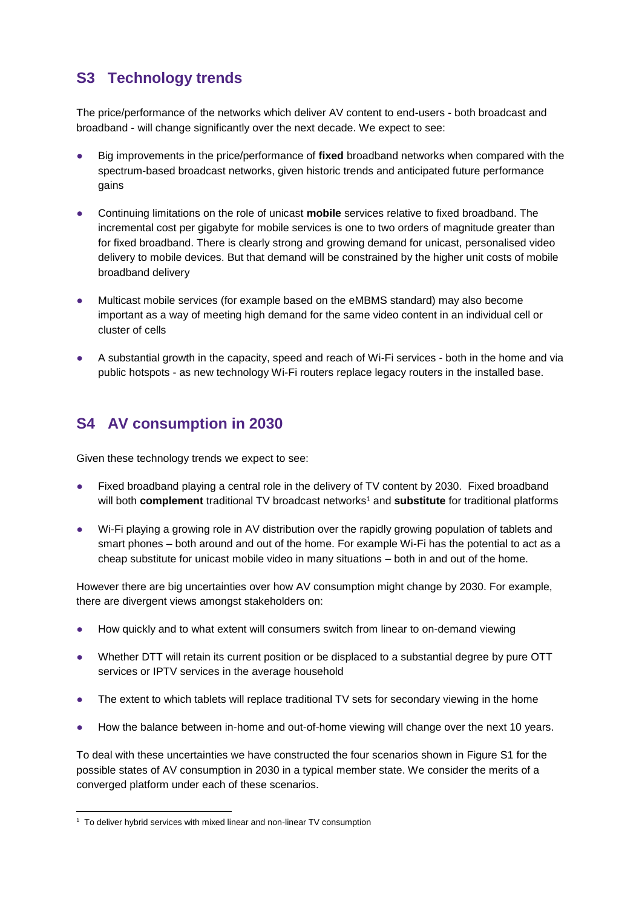### **S3 Technology trends**

The price/performance of the networks which deliver AV content to end-users - both broadcast and broadband - will change significantly over the next decade. We expect to see:

- Big improvements in the price/performance of fixed broadband networks when compared with the spectrum-based broadcast networks, given historic trends and anticipated future performance gains
- Continuing limitations on the role of unicast **mobile** services relative to fixed broadband. The incremental cost per gigabyte for mobile services is one to two orders of magnitude greater than for fixed broadband. There is clearly strong and growing demand for unicast, personalised video delivery to mobile devices. But that demand will be constrained by the higher unit costs of mobile broadband delivery
- Multicast mobile services (for example based on the eMBMS standard) may also become important as a way of meeting high demand for the same video content in an individual cell or cluster of cells
- A substantial growth in the capacity, speed and reach of Wi-Fi services both in the home and via public hotspots - as new technology Wi-Fi routers replace legacy routers in the installed base.

#### **S4 AV consumption in 2030**

Given these technology trends we expect to see:

- Fixed broadband playing a central role in the delivery of TV content by 2030. Fixed broadband will both **complement** traditional TV broadcast networks<sup>1</sup> and **substitute** for traditional platforms
- Wi-Fi playing a growing role in AV distribution over the rapidly growing population of tablets and smart phones – both around and out of the home. For example Wi-Fi has the potential to act as a cheap substitute for unicast mobile video in many situations – both in and out of the home.

However there are big uncertainties over how AV consumption might change by 2030. For example, there are divergent views amongst stakeholders on:

- How quickly and to what extent will consumers switch from linear to on-demand viewing
- Whether DTT will retain its current position or be displaced to a substantial degree by pure OTT services or IPTV services in the average household
- The extent to which tablets will replace traditional TV sets for secondary viewing in the home
- How the balance between in-home and out-of-home viewing will change over the next 10 years.

To deal with these uncertainties we have constructed the four scenarios shown in Figure S1 for the possible states of AV consumption in 2030 in a typical member state. We consider the merits of a converged platform under each of these scenarios.

<sup>&</sup>lt;sup>1</sup> To deliver hybrid services with mixed linear and non-linear TV consumption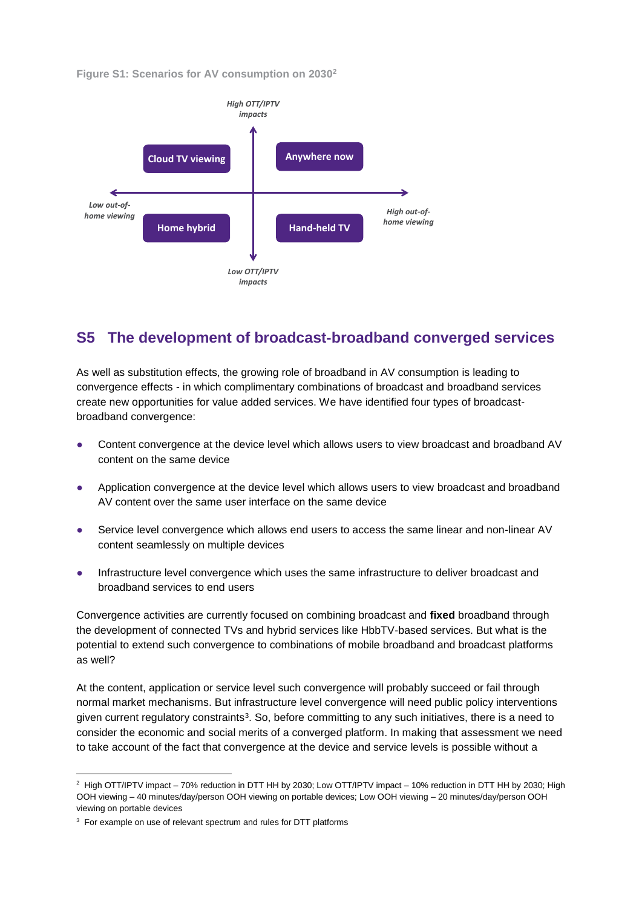**Figure S1: Scenarios for AV consumption on 2030<sup>2</sup>**



#### **S5 The development of broadcast-broadband converged services**

As well as substitution effects, the growing role of broadband in AV consumption is leading to convergence effects - in which complimentary combinations of broadcast and broadband services create new opportunities for value added services. We have identified four types of broadcastbroadband convergence:

- Content convergence at the device level which allows users to view broadcast and broadband AV content on the same device
- Application convergence at the device level which allows users to view broadcast and broadband AV content over the same user interface on the same device
- Service level convergence which allows end users to access the same linear and non-linear AV content seamlessly on multiple devices
- Infrastructure level convergence which uses the same infrastructure to deliver broadcast and broadband services to end users

Convergence activities are currently focused on combining broadcast and **fixed** broadband through the development of connected TVs and hybrid services like HbbTV-based services. But what is the potential to extend such convergence to combinations of mobile broadband and broadcast platforms as well?

At the content, application or service level such convergence will probably succeed or fail through normal market mechanisms. But infrastructure level convergence will need public policy interventions given current regulatory constraints<sup>3</sup>. So, before committing to any such initiatives, there is a need to consider the economic and social merits of a converged platform. In making that assessment we need to take account of the fact that convergence at the device and service levels is possible without a

<sup>2</sup> High OTT/IPTV impact – 70% reduction in DTT HH by 2030; Low OTT/IPTV impact – 10% reduction in DTT HH by 2030; High OOH viewing – 40 minutes/day/person OOH viewing on portable devices; Low OOH viewing – 20 minutes/day/person OOH viewing on portable devices

 $3$  For example on use of relevant spectrum and rules for DTT platforms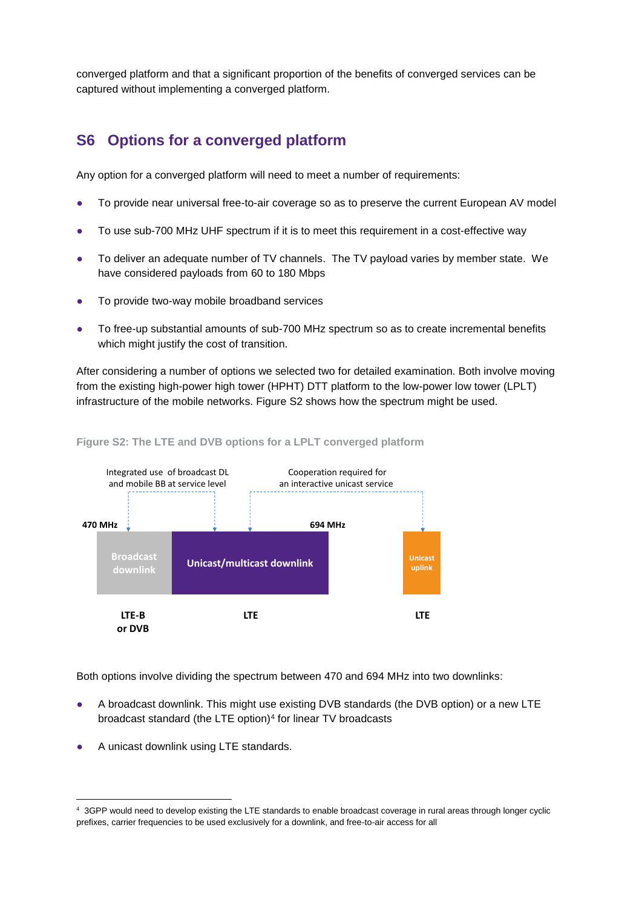converged platform and that a significant proportion of the benefits of converged services can be captured without implementing a converged platform.

#### **S6 Options for a converged platform**

Any option for a converged platform will need to meet a number of requirements:

- To provide near universal free-to-air coverage so as to preserve the current European AV model
- To use sub-700 MHz UHF spectrum if it is to meet this requirement in a cost-effective way
- To deliver an adequate number of TV channels. The TV payload varies by member state. We have considered payloads from 60 to 180 Mbps
- To provide two-way mobile broadband services
- To free-up substantial amounts of sub-700 MHz spectrum so as to create incremental benefits which might justify the cost of transition.

After considering a number of options we selected two for detailed examination. Both involve moving from the existing high-power high tower (HPHT) DTT platform to the low-power low tower (LPLT) infrastructure of the mobile networks. Figure S2 shows how the spectrum might be used.



#### **Figure S2: The LTE and DVB options for a LPLT converged platform**

Both options involve dividing the spectrum between 470 and 694 MHz into two downlinks:

- A broadcast downlink. This might use existing DVB standards (the DVB option) or a new LTE broadcast standard (the LTE option)<sup>4</sup> for linear TV broadcasts
- A unicast downlink using LTE standards.

<sup>4</sup> 3GPP would need to develop existing the LTE standards to enable broadcast coverage in rural areas through longer cyclic prefixes, carrier frequencies to be used exclusively for a downlink, and free-to-air access for all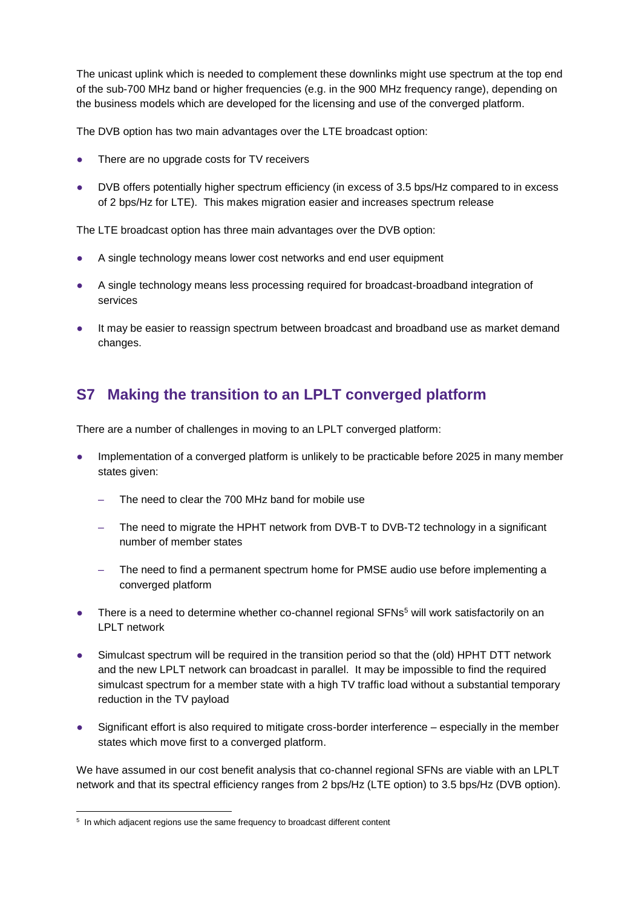The unicast uplink which is needed to complement these downlinks might use spectrum at the top end of the sub-700 MHz band or higher frequencies (e.g. in the 900 MHz frequency range), depending on the business models which are developed for the licensing and use of the converged platform.

The DVB option has two main advantages over the LTE broadcast option:

- There are no upgrade costs for TV receivers
- DVB offers potentially higher spectrum efficiency (in excess of 3.5 bps/Hz compared to in excess of 2 bps/Hz for LTE). This makes migration easier and increases spectrum release

The LTE broadcast option has three main advantages over the DVB option:

- A single technology means lower cost networks and end user equipment
- A single technology means less processing required for broadcast-broadband integration of services
- It may be easier to reassign spectrum between broadcast and broadband use as market demand changes.

#### **S7 Making the transition to an LPLT converged platform**

There are a number of challenges in moving to an LPLT converged platform:

- Implementation of a converged platform is unlikely to be practicable before 2025 in many member states given:
	- The need to clear the 700 MHz band for mobile use
	- The need to migrate the HPHT network from DVB-T to DVB-T2 technology in a significant number of member states
	- The need to find a permanent spectrum home for PMSE audio use before implementing a converged platform
- There is a need to determine whether co-channel regional SFNs<sup>5</sup> will work satisfactorily on an LPLT network
- Simulcast spectrum will be required in the transition period so that the (old) HPHT DTT network and the new LPLT network can broadcast in parallel. It may be impossible to find the required simulcast spectrum for a member state with a high TV traffic load without a substantial temporary reduction in the TV payload
- Significant effort is also required to mitigate cross-border interference especially in the member states which move first to a converged platform.

We have assumed in our cost benefit analysis that co-channel regional SFNs are viable with an LPLT network and that its spectral efficiency ranges from 2 bps/Hz (LTE option) to 3.5 bps/Hz (DVB option).

<sup>&</sup>lt;sup>5</sup> In which adjacent regions use the same frequency to broadcast different content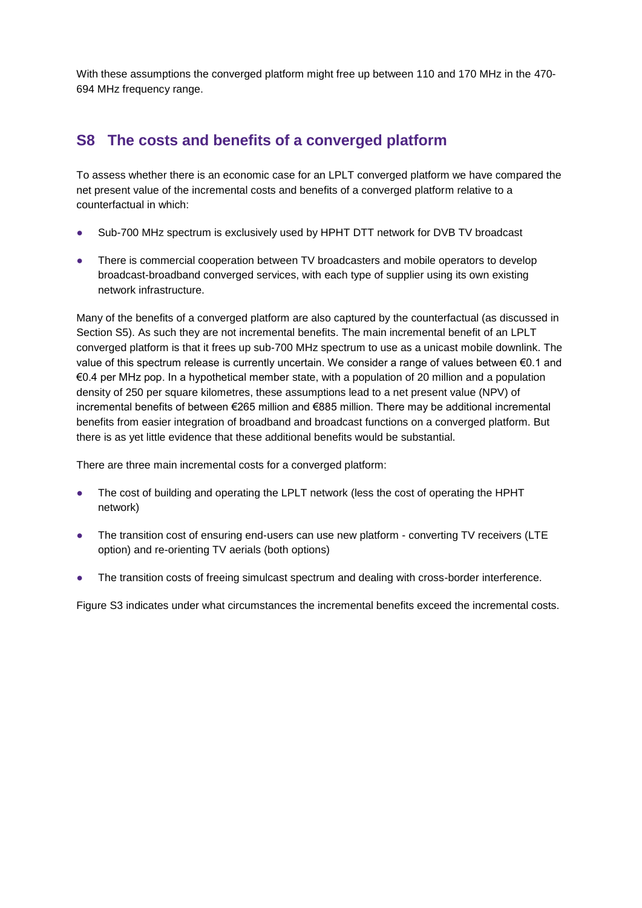With these assumptions the converged platform might free up between 110 and 170 MHz in the 470- 694 MHz frequency range.

#### **S8 The costs and benefits of a converged platform**

To assess whether there is an economic case for an LPLT converged platform we have compared the net present value of the incremental costs and benefits of a converged platform relative to a counterfactual in which:

- Sub-700 MHz spectrum is exclusively used by HPHT DTT network for DVB TV broadcast
- There is commercial cooperation between TV broadcasters and mobile operators to develop broadcast-broadband converged services, with each type of supplier using its own existing network infrastructure.

Many of the benefits of a converged platform are also captured by the counterfactual (as discussed in Section S5). As such they are not incremental benefits. The main incremental benefit of an LPLT converged platform is that it frees up sub-700 MHz spectrum to use as a unicast mobile downlink. The value of this spectrum release is currently uncertain. We consider a range of values between €0.1 and €0.4 per MHz pop. In a hypothetical member state, with a population of 20 million and a population density of 250 per square kilometres, these assumptions lead to a net present value (NPV) of incremental benefits of between €265 million and €885 million. There may be additional incremental benefits from easier integration of broadband and broadcast functions on a converged platform. But there is as yet little evidence that these additional benefits would be substantial.

There are three main incremental costs for a converged platform:

- The cost of building and operating the LPLT network (less the cost of operating the HPHT network)
- The transition cost of ensuring end-users can use new platform converting TV receivers (LTE option) and re-orienting TV aerials (both options)
- The transition costs of freeing simulcast spectrum and dealing with cross-border interference.

Figure S3 indicates under what circumstances the incremental benefits exceed the incremental costs.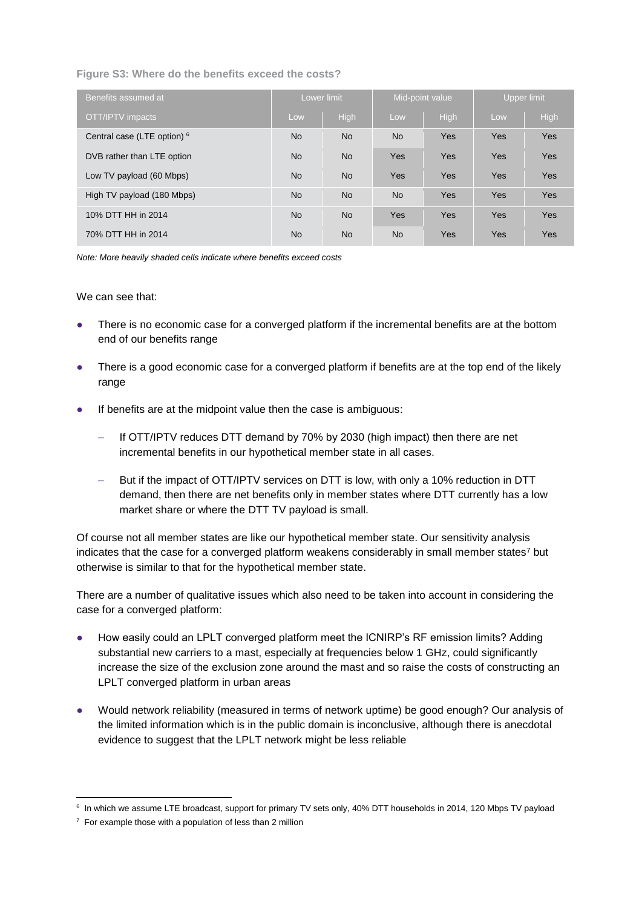**Figure S3: Where do the benefits exceed the costs?**

| Benefits assumed at                    | Lower limit |           | Mid-point value |            | Upper limit |      |
|----------------------------------------|-------------|-----------|-----------------|------------|-------------|------|
| OTT/IPTV impacts                       | Low         | High      | Low             | High       | Low         | High |
| Central case (LTE option) <sup>6</sup> | <b>No</b>   | <b>No</b> | N <sub>o</sub>  | Yes        | Yes         | Yes  |
| DVB rather than LTE option             | <b>No</b>   | <b>No</b> | <b>Yes</b>      | <b>Yes</b> | Yes         | Yes  |
| Low TV payload (60 Mbps)               | <b>No</b>   | <b>No</b> | <b>Yes</b>      | Yes        | <b>Yes</b>  | Yes  |
| High TV payload (180 Mbps)             | <b>No</b>   | <b>No</b> | N <sub>o</sub>  | Yes        | Yes         | Yes  |
| 10% DTT HH in 2014                     | <b>No</b>   | <b>No</b> | <b>Yes</b>      | <b>Yes</b> | Yes         | Yes  |
| 70% DTT HH in 2014                     | <b>No</b>   | <b>No</b> | <b>No</b>       | Yes        | Yes         | Yes  |

*Note: More heavily shaded cells indicate where benefits exceed costs*

We can see that:

- There is no economic case for a converged platform if the incremental benefits are at the bottom end of our benefits range
- There is a good economic case for a converged platform if benefits are at the top end of the likely range
- If benefits are at the midpoint value then the case is ambiguous:
	- If OTT/IPTV reduces DTT demand by 70% by 2030 (high impact) then there are net incremental benefits in our hypothetical member state in all cases.
	- But if the impact of OTT/IPTV services on DTT is low, with only a 10% reduction in DTT demand, then there are net benefits only in member states where DTT currently has a low market share or where the DTT TV payload is small.

Of course not all member states are like our hypothetical member state. Our sensitivity analysis indicates that the case for a converged platform weakens considerably in small member states<sup>7</sup> but otherwise is similar to that for the hypothetical member state.

There are a number of qualitative issues which also need to be taken into account in considering the case for a converged platform:

- How easily could an LPLT converged platform meet the ICNIRP's RF emission limits? Adding substantial new carriers to a mast, especially at frequencies below 1 GHz, could significantly increase the size of the exclusion zone around the mast and so raise the costs of constructing an LPLT converged platform in urban areas
- Would network reliability (measured in terms of network uptime) be good enough? Our analysis of the limited information which is in the public domain is inconclusive, although there is anecdotal evidence to suggest that the LPLT network might be less reliable

<sup>6</sup> In which we assume LTE broadcast, support for primary TV sets only, 40% DTT households in 2014, 120 Mbps TV payload

 $7$  For example those with a population of less than 2 million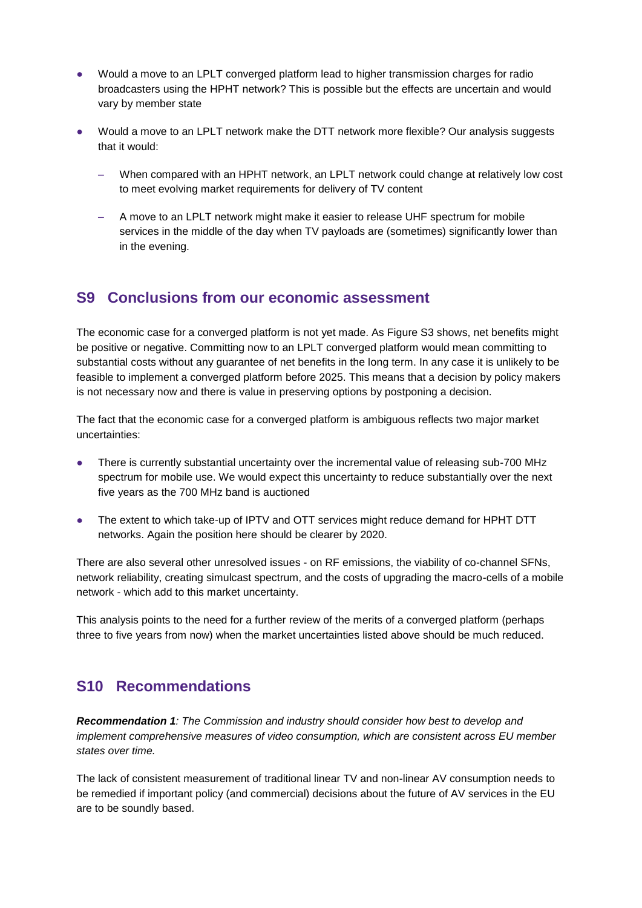- Would a move to an LPLT converged platform lead to higher transmission charges for radio broadcasters using the HPHT network? This is possible but the effects are uncertain and would vary by member state
- Would a move to an LPLT network make the DTT network more flexible? Our analysis suggests that it would:
	- When compared with an HPHT network, an LPLT network could change at relatively low cost to meet evolving market requirements for delivery of TV content
	- A move to an LPLT network might make it easier to release UHF spectrum for mobile services in the middle of the day when TV payloads are (sometimes) significantly lower than in the evening.

#### **S9 Conclusions from our economic assessment**

The economic case for a converged platform is not yet made. As Figure S3 shows, net benefits might be positive or negative. Committing now to an LPLT converged platform would mean committing to substantial costs without any guarantee of net benefits in the long term. In any case it is unlikely to be feasible to implement a converged platform before 2025. This means that a decision by policy makers is not necessary now and there is value in preserving options by postponing a decision.

The fact that the economic case for a converged platform is ambiguous reflects two major market uncertainties:

- There is currently substantial uncertainty over the incremental value of releasing sub-700 MHz spectrum for mobile use. We would expect this uncertainty to reduce substantially over the next five years as the 700 MHz band is auctioned
- The extent to which take-up of IPTV and OTT services might reduce demand for HPHT DTT networks. Again the position here should be clearer by 2020.

There are also several other unresolved issues - on RF emissions, the viability of co-channel SFNs, network reliability, creating simulcast spectrum, and the costs of upgrading the macro-cells of a mobile network - which add to this market uncertainty.

This analysis points to the need for a further review of the merits of a converged platform (perhaps three to five years from now) when the market uncertainties listed above should be much reduced.

#### **S10 Recommendations**

*Recommendation 1: The Commission and industry should consider how best to develop and implement comprehensive measures of video consumption, which are consistent across EU member states over time.*

The lack of consistent measurement of traditional linear TV and non-linear AV consumption needs to be remedied if important policy (and commercial) decisions about the future of AV services in the EU are to be soundly based.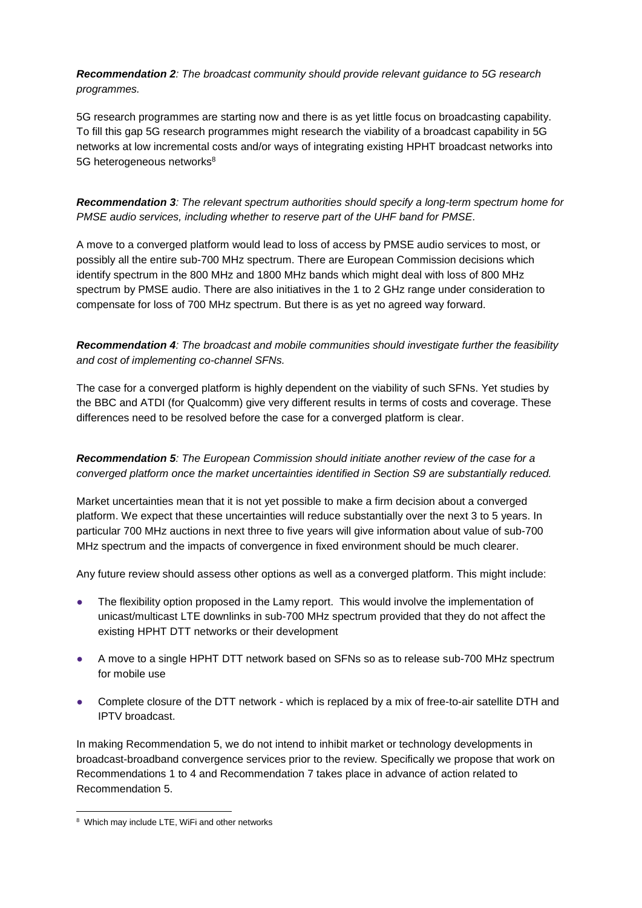*Recommendation 2: The broadcast community should provide relevant guidance to 5G research programmes.*

5G research programmes are starting now and there is as yet little focus on broadcasting capability. To fill this gap 5G research programmes might research the viability of a broadcast capability in 5G networks at low incremental costs and/or ways of integrating existing HPHT broadcast networks into 5G heterogeneous networks<sup>8</sup>

*Recommendation 3: The relevant spectrum authorities should specify a long-term spectrum home for PMSE audio services, including whether to reserve part of the UHF band for PMSE.*

A move to a converged platform would lead to loss of access by PMSE audio services to most, or possibly all the entire sub-700 MHz spectrum. There are European Commission decisions which identify spectrum in the 800 MHz and 1800 MHz bands which might deal with loss of 800 MHz spectrum by PMSE audio. There are also initiatives in the 1 to 2 GHz range under consideration to compensate for loss of 700 MHz spectrum. But there is as yet no agreed way forward.

*Recommendation 4: The broadcast and mobile communities should investigate further the feasibility and cost of implementing co-channel SFNs.*

The case for a converged platform is highly dependent on the viability of such SFNs. Yet studies by the BBC and ATDI (for Qualcomm) give very different results in terms of costs and coverage. These differences need to be resolved before the case for a converged platform is clear.

*Recommendation 5: The European Commission should initiate another review of the case for a converged platform once the market uncertainties identified in Section S9 are substantially reduced.* 

Market uncertainties mean that it is not yet possible to make a firm decision about a converged platform. We expect that these uncertainties will reduce substantially over the next 3 to 5 years. In particular 700 MHz auctions in next three to five years will give information about value of sub-700 MHz spectrum and the impacts of convergence in fixed environment should be much clearer.

Any future review should assess other options as well as a converged platform. This might include:

- The flexibility option proposed in the Lamy report. This would involve the implementation of unicast/multicast LTE downlinks in sub-700 MHz spectrum provided that they do not affect the existing HPHT DTT networks or their development
- A move to a single HPHT DTT network based on SFNs so as to release sub-700 MHz spectrum for mobile use
- Complete closure of the DTT network which is replaced by a mix of free-to-air satellite DTH and IPTV broadcast.

In making Recommendation 5, we do not intend to inhibit market or technology developments in broadcast-broadband convergence services prior to the review. Specifically we propose that work on Recommendations 1 to 4 and Recommendation 7 takes place in advance of action related to Recommendation 5.

<sup>&</sup>lt;sup>8</sup> Which may include LTE, WiFi and other networks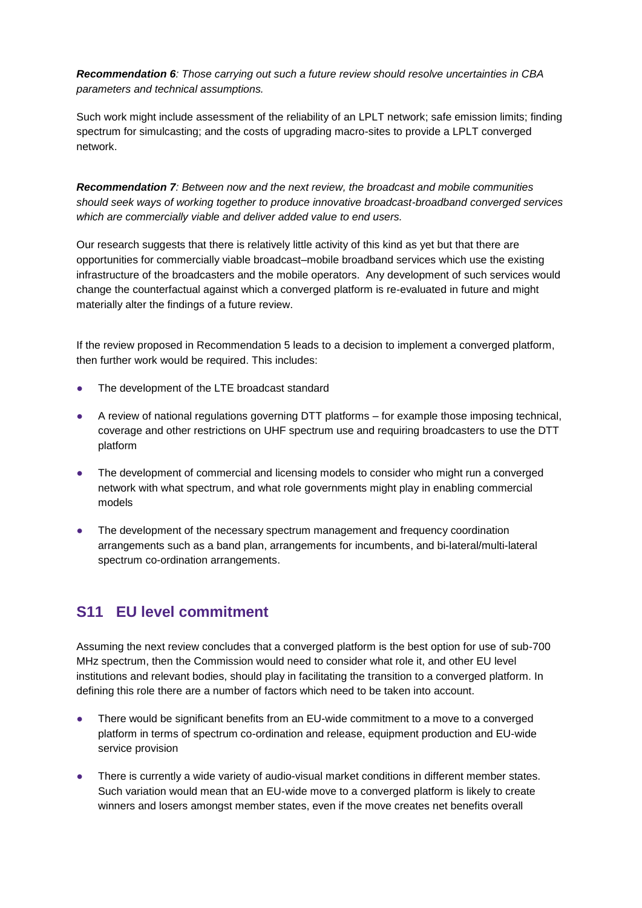*Recommendation 6: Those carrying out such a future review should resolve uncertainties in CBA parameters and technical assumptions.*

Such work might include assessment of the reliability of an LPLT network; safe emission limits; finding spectrum for simulcasting; and the costs of upgrading macro-sites to provide a LPLT converged network.

*Recommendation 7: Between now and the next review, the broadcast and mobile communities should seek ways of working together to produce innovative broadcast-broadband converged services which are commercially viable and deliver added value to end users.*

Our research suggests that there is relatively little activity of this kind as yet but that there are opportunities for commercially viable broadcast–mobile broadband services which use the existing infrastructure of the broadcasters and the mobile operators. Any development of such services would change the counterfactual against which a converged platform is re-evaluated in future and might materially alter the findings of a future review.

If the review proposed in Recommendation 5 leads to a decision to implement a converged platform, then further work would be required. This includes:

- The development of the LTE broadcast standard
- A review of national regulations governing DTT platforms for example those imposing technical, coverage and other restrictions on UHF spectrum use and requiring broadcasters to use the DTT platform
- The development of commercial and licensing models to consider who might run a converged network with what spectrum, and what role governments might play in enabling commercial models
- The development of the necessary spectrum management and frequency coordination arrangements such as a band plan, arrangements for incumbents, and bi-lateral/multi-lateral spectrum co-ordination arrangements.

#### **S11 EU level commitment**

Assuming the next review concludes that a converged platform is the best option for use of sub-700 MHz spectrum, then the Commission would need to consider what role it, and other EU level institutions and relevant bodies, should play in facilitating the transition to a converged platform. In defining this role there are a number of factors which need to be taken into account.

- There would be significant benefits from an EU-wide commitment to a move to a converged platform in terms of spectrum co-ordination and release, equipment production and EU-wide service provision
- There is currently a wide variety of audio-visual market conditions in different member states. Such variation would mean that an EU-wide move to a converged platform is likely to create winners and losers amongst member states, even if the move creates net benefits overall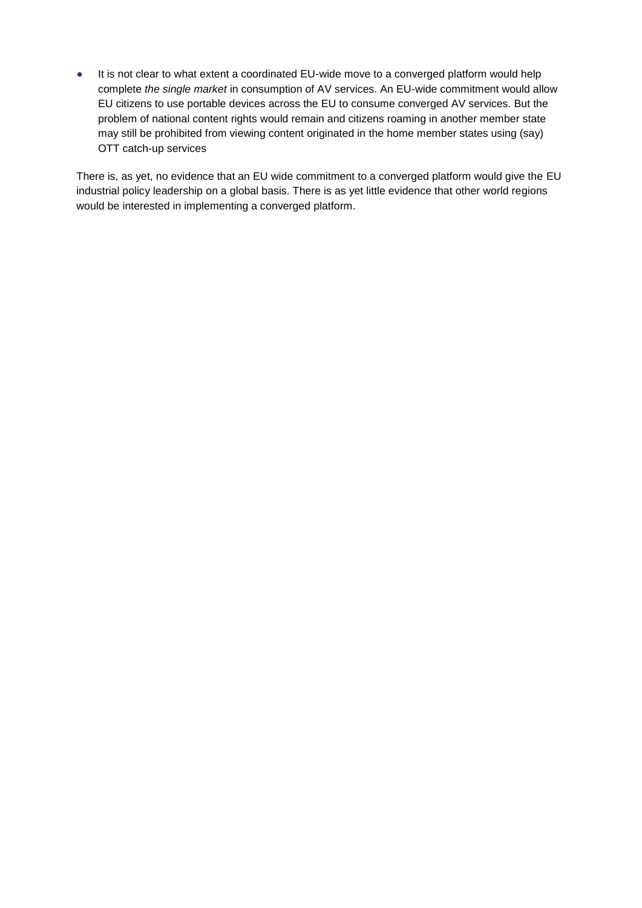● It is not clear to what extent a coordinated EU-wide move to a converged platform would help complete *the single market* in consumption of AV services. An EU-wide commitment would allow EU citizens to use portable devices across the EU to consume converged AV services. But the problem of national content rights would remain and citizens roaming in another member state may still be prohibited from viewing content originated in the home member states using (say) OTT catch-up services

There is, as yet, no evidence that an EU wide commitment to a converged platform would give the EU industrial policy leadership on a global basis. There is as yet little evidence that other world regions would be interested in implementing a converged platform.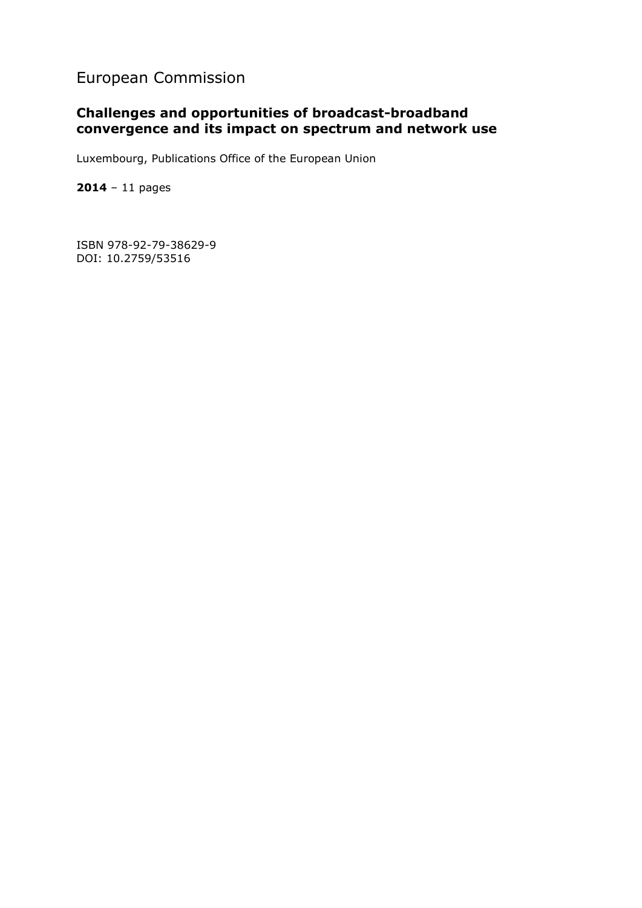#### European Commission

#### **Challenges and opportunities of broadcast-broadband convergence and its impact on spectrum and network use**

Luxembourg, Publications Office of the European Union

**2014** – 11 pages

ISBN 978-92-79-38629-9 DOI: 10.2759/53516